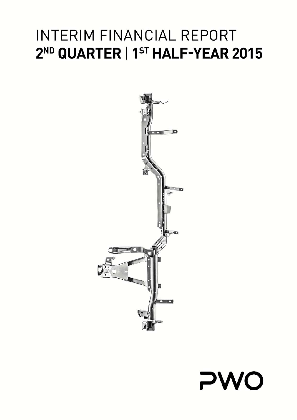



# INTERIM FINANCIAL REPORT 2<sup>ND</sup> QUARTER | 1<sup>ST</sup> HALF-YEAR 2015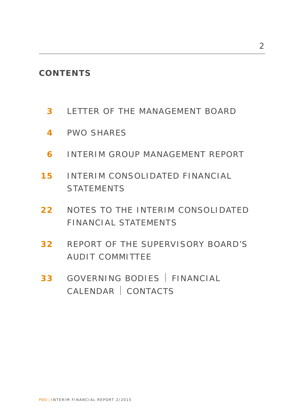# **CONTENTS**

- **3** LETTER OF THE MANAGEMENT BOARD
- **4** PWO SHARES
- **6** INTERIM GROUP MANAGEMENT REPORT
- **15** INTERIM CONSOLIDATED FINANCIAL **STATEMENTS**
- **22** NOTES TO THE INTERIM CONSOLIDATED FINANCIAL STATEMENTS
- **32** REPORT OF THE SUPERVISORY BOARD'S AUDIT COMMITTEE
- **33** GOVERNING BODIES | FINANCIAL CALENDAR CONTACTS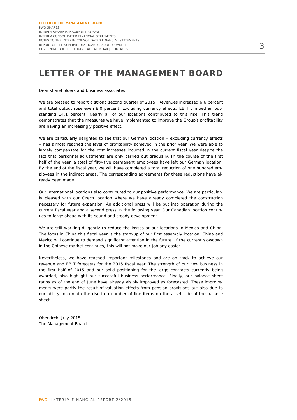# **LETTER OF THE MANAGEMENT BOARD**

Dear shareholders and business associates,

We are pleased to report a strong second quarter of 2015: Revenues increased 6.6 percent and total output rose even 8.0 percent. Excluding currency effects, EBIT climbed an outstanding 14.1 percent. Nearly all of our locations contributed to this rise. This trend demonstrates that the measures we have implemented to improve the Group's profitability are having an increasingly positive effect.

We are particularly delighted to see that our German location – excluding currency effects – has almost reached the level of profitability achieved in the prior year. We were able to largely compensate for the cost increases incurred in the current fiscal year despite the fact that personnel adjustments are only carried out gradually. In the course of the first half of the year, a total of fifty-five permanent employees have left our German location. By the end of the fiscal year, we will have completed a total reduction of one hundred employees in the indirect areas. The corresponding agreements for these reductions have already been made.

Our international locations also contributed to our positive performance. We are particularly pleased with our Czech location where we have already completed the construction necessary for future expansion. An additional press will be put into operation during the current fiscal year and a second press in the following year. Our Canadian location continues to forge ahead with its sound and steady development.

We are still working diligently to reduce the losses at our locations in Mexico and China. The focus in China this fiscal year is the start-up of our first assembly location. China and Mexico will continue to demand significant attention in the future. If the current slowdown in the Chinese market continues, this will not make our job any easier.

Nevertheless, we have reached important milestones and are on track to achieve our revenue and EBIT forecasts for the 2015 fiscal year. The strength of our new business in the first half of 2015 and our solid positioning for the large contracts currently being awarded, also highlight our successful business performance. Finally, our balance sheet ratios as of the end of June have already visibly improved as forecasted. These improvements were partly the result of valuation effects from pension provisions but also due to our ability to contain the rise in a number of line items on the asset side of the balance sheet.

Oberkirch, July 2015 The Management Board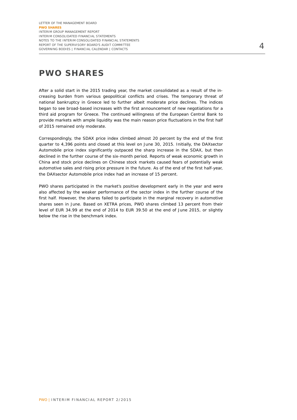# **PWO SHARES**

After a solid start in the 2015 trading year, the market consolidated as a result of the increasing burden from various geopolitical conflicts and crises. The temporary threat of national bankruptcy in Greece led to further albeit moderate price declines. The indices began to see broad-based increases with the first announcement of new negotiations for a third aid program for Greece. The continued willingness of the European Central Bank to provide markets with ample liquidity was the main reason price fluctuations in the first half of 2015 remained only moderate.

Correspondingly, the SDAX price index climbed almost 20 percent by the end of the first quarter to 4,396 points and closed at this level on June 30, 2015. Initially, the DAXsector Automobile price index significantly outpaced the sharp increase in the SDAX, but then declined in the further course of the six-month period. Reports of weak economic growth in China and stock price declines on Chinese stock markets caused fears of potentially weak automotive sales and rising price pressure in the future. As of the end of the first half-year, the DAXsector Automobile price index had an increase of 15 percent.

PWO shares participated in the market's positive development early in the year and were also affected by the weaker performance of the sector index in the further course of the first half. However, the shares failed to participate in the marginal recovery in automotive shares seen in June. Based on XETRA prices, PWO shares climbed 13 percent from their level of EUR 34.99 at the end of 2014 to EUR 39.50 at the end of June 2015, or slightly below the rise in the benchmark index.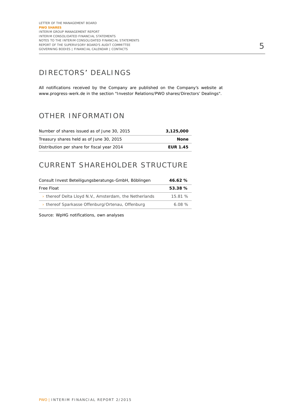### DIRECTORS' DEALINGS

All notifications received by the Company are published on the Company's website at www.progress-werk.de in the section "Investor Relations/PWO shares/Directors' Dealings".

### OTHER INFORMATION

| Number of shares issued as of June 30, 2015 | 3.125.000       |
|---------------------------------------------|-----------------|
| Treasury shares held as of June 30, 2015    | <b>None</b>     |
| Distribution per share for fiscal year 2014 | <b>EUR 1.45</b> |

### CURRENT SHAREHOLDER STRUCTURE

| Consult Invest Beteiligungsberatungs-GmbH, Böblingen   | 46.62%  |  |
|--------------------------------------------------------|---------|--|
| Free Float                                             | 53.38 % |  |
| > thereof Delta Lloyd N.V., Amsterdam, the Netherlands | 15.81 % |  |
| > thereof Sparkasse Offenburg/Ortenau, Offenburg       | 6.08%   |  |

Source: WpHG notifications, own analyses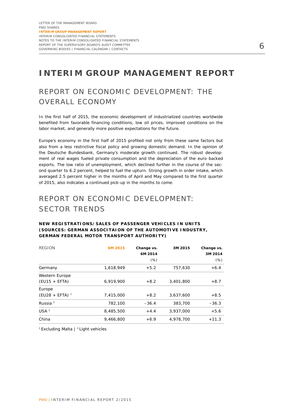# **INTERIM GROUP MANAGEMENT REPORT**

# REPORT ON ECONOMIC DEVELOPMENT: THE OVERALL ECONOMY

In the first half of 2015, the economic development of industrialized countries worldwide benefited from favorable financing conditions, low oil prices, improved conditions on the labor market, and generally more positive expectations for the future.

Europe's economy in the first half of 2015 profited not only from these same factors but also from a less restrictive fiscal policy and growing domestic demand. In the opinion of the Deutsche Bundesbank, Germany's moderate growth continued. The robust development of real wages fueled private consumption and the depreciation of the euro backed exports. The low ratio of unemployment, which declined further in the course of the second quarter to 6.2 percent, helped to fuel the upturn. Strong growth in order intake, which averaged 2.5 percent higher in the months of April and May compared to the first quarter of 2015, also indicates a continued pick-up in the months to come.

# REPORT ON ECONOMIC DEVELOPMENT: SECTOR TRENDS

#### **NEW REGISTRATIONS/SALES OF PASSENGER VEHICLES IN UNITS (SOURCES: GERMAN ASSOCITAION OF THE AUTOMOTIVE INDUSTRY, GERMAN FEDERAL MOTOR TRANSPORT AUTHORITY)**

| <b>REGION</b>        | 6M 2015   | Change vs. | 3M 2015   | Change vs. |
|----------------------|-----------|------------|-----------|------------|
|                      |           | 6M 2014    |           | 3M 2014    |
|                      |           | $(\%)$     |           | (% )       |
| Germany              | 1,618,949 | $+5.2$     | 757,630   | $+6.4$     |
| Western Europe       |           |            |           |            |
| $(EU15 + EFTA)$      | 6,919,900 | $+8.2$     | 3,401,800 | $+8.7$     |
| Europe               |           |            |           |            |
| $(EU28 + EFTA)^{-1}$ | 7.415.000 | $+8.2$     | 3.637.600 | $+8.5$     |
| Russia <sup>2</sup>  | 782,100   | $-36.4$    | 383,700   | $-36.3$    |
| USA <sup>2</sup>     | 8,485,500 | $+4.4$     | 3,937,000 | $+5.6$     |
| China                | 9,466,800 | $+6.9$     | 4.978.700 | $+11.3$    |

 $1$  Excluding Malta  $|$  <sup>2</sup> Light vehicles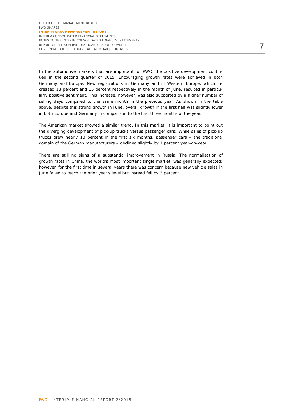In the automotive markets that are important for PWO, the positive development continued in the second quarter of 2015. Encouraging growth rates were achieved in both Germany and Europe. New registrations in Germany and in Western Europe, which increased 13 percent and 15 percent respectively in the month of June, resulted in particularly positive sentiment. This increase, however, was also supported by a higher number of selling days compared to the same month in the previous year. As shown in the table above, despite this strong growth in June, overall growth in the first half was slightly lower in both Europe and Germany in comparison to the first three months of the year.

The American market showed a similar trend. In this market, it is important to point out the diverging development of pick-up trucks versus passenger cars: While sales of pick-up trucks grew nearly 10 percent in the first six months, passenger cars – the traditional domain of the German manufacturers – declined slightly by 1 percent year-on-year.

There are still no signs of a substantial improvement in Russia. The normalization of growth rates in China, the world's most important single market, was generally expected; however, for the first time in several years there was concern because new vehicle sales in June failed to reach the prior year's level but instead fell by 2 percent.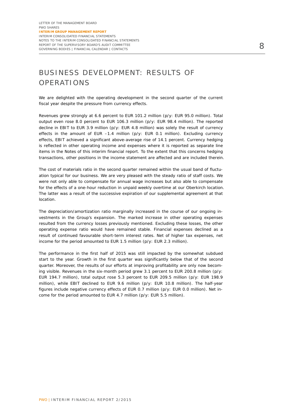# BUSINESS DEVELOPMENT: RESULTS OF OPERATIONS

We are delighted with the operating development in the second quarter of the current fiscal year despite the pressure from currency effects.

Revenues grew strongly at 6.6 percent to EUR 101.2 million (p/y: EUR 95.0 million). Total output even rose 8.0 percent to EUR 106.3 million (p/y: EUR 98.4 million). The reported decline in EBIT to EUR 3.9 million (p/y: EUR 4.8 million) was solely the result of currency effects in the amount of EUR –1.4 million (p/y: EUR 0.1 million). Excluding currency effects, EBIT achieved a significant above-average rise of 14.1 percent. Currency hedging is reflected in other operating income and expenses where it is reported as separate line items in the Notes of this interim financial report. To the extent that this concerns hedging transactions, other positions in the income statement are affected and are included therein.

The cost of materials ratio in the second quarter remained within the usual band of fluctuation typical for our business. We are very pleased with the steady ratio of staff costs. We were not only able to compensate for annual wage increases but also able to compensate for the effects of a one-hour reduction in unpaid weekly overtime at our Oberkirch location. The latter was a result of the successive expiration of our supplemental agreement at that location.

The depreciation/amortization ratio marginally increased in the course of our ongoing investments in the Group's expansion. The marked increase in other operating expenses resulted from the currency losses previously mentioned. Excluding these losses, the other operating expense ratio would have remained stable. Financial expenses declined as a result of continued favourable short-term interest rates. Net of higher tax expenses, net income for the period amounted to EUR 1.5 million (p/y: EUR 2.3 million).

The performance in the first half of 2015 was still impacted by the somewhat subdued start to the year. Growth in the first quarter was significantly below that of the second quarter. Moreover, the results of our efforts at improving profitability are only now becoming visible. Revenues in the six-month period grew 3.1 percent to EUR 200.8 million (p/y: EUR 194.7 million), total output rose 5.3 percent to EUR 209.5 million (p/y: EUR 198.9 million), while EBIT declined to EUR 9.6 million (p/y: EUR 10.8 million). The half-year figures include negative currency effects of EUR 0.7 million (p/y: EUR 0.0 million). Net income for the period amounted to EUR 4.7 million (p/y: EUR 5.5 million).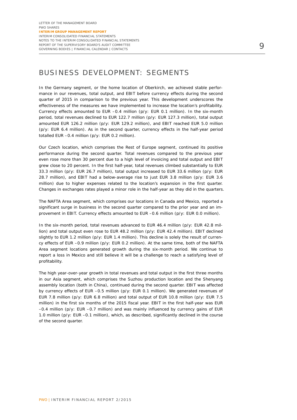### BUSINESS DEVELOPMENT: SEGMENTS

In the Germany segment, or the home location of Oberkirch, we achieved stable performance in our revenues, total output, and EBIT before currency effects during the second quarter of 2015 in comparison to the previous year. This development underscores the effectiveness of the measures we have implemented to increase the location's profitability. Currency effects amounted to EUR –0.4 million (p/y: EUR 0.1 million). In the six-month period, total revenues declined to EUR 122.7 million (p/y: EUR 127.3 million), total output amounted EUR 126.2 million (p/y: EUR 129.2 million), and EBIT reached EUR 5.0 million (p/y: EUR 6.4 million). As in the second quarter, currency effects in the half-year period totalled EUR –0.4 million (p/y: EUR 0.2 million).

Our Czech location, which comprises the Rest of Europe segment, continued its positive performance during the second quarter. Total revenues compared to the previous year even rose more than 30 percent due to a high level of invoicing and total output and EBIT grew close to 20 percent. In the first half-year, total revenues climbed substantially to EUR 33.3 million (p/y: EUR 26.7 million), total output increased to EUR 33.6 million (p/y: EUR 28.7 million), and EBIT had a below-average rise to just EUR 3.8 million (p/y: EUR 3.6 million) due to higher expenses related to the location's expansion in the first quarter. Changes in exchanges rates played a minor role in the half-year as they did in the quarters.

The NAFTA Area segment, which comprises our locations in Canada and Mexico, reported a significant surge in business in the second quarter compared to the prior year and an improvement in EBIT. Currency effects amounted to EUR –0.6 million (p/y: EUR 0.0 million).

In the six-month period, total revenues advanced to EUR 46.4 million (p/y: EUR 42.8 million) and total output even rose to EUR 48.2 million (p/y: EUR 42.4 million). EBIT declined slightly to EUR 1.2 million (p/y: EUR 1.4 million). This decline is solely the result of currency effects of EUR –0.9 million (p/y: EUR 0.2 million). At the same time, both of the NAFTA Area segment locations generated growth during the six-month period. We continue to report a loss in Mexico and still believe it will be a challenge to reach a satisfying level of profitability.

The high year-over-year growth in total revenues and total output in the first three months in our Asia segment, which comprises the Suzhou production location and the Shenyang assembly location (both in China), continued during the second quarter. EBIT was affected by currency effects of EUR –0.5 million (p/y: EUR 0.1 million). We generated revenues of EUR 7.8 million (p/y: EUR 6.8 million) and total output of EUR 10.8 million (p/y: EUR 7.5 million) in the first six months of the 2015 fiscal year. EBIT in the first half-year was EUR –0.4 million (p/y: EUR –0.7 million) and was mainly influenced by currency gains of EUR 1.0 million (p/y: EUR –0.1 million), which, as described, significantly declined in the course of the second quarter.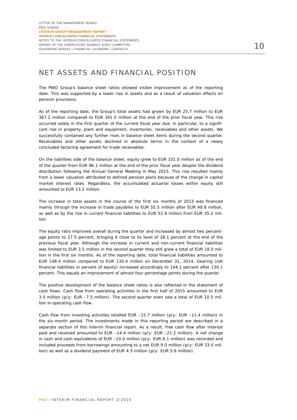### NET ASSETS AND FINANCIAL POSITION

The PWO Group's balance sheet ratios showed visible improvement as of the reporting date. This was supported by a lower rise in assets and as a result of valuation effects on pension provisions.

As of the reporting date, the Group's total assets had grown by EUR 25.7 million to EUR 367.2 million compared to EUR 341.5 million at the end of the prior fiscal year. This rise occurred solely in the first quarter of the current fiscal year due, in particular, to a significant rise in property, plant and equipment, inventories, receivables and other assets. We successfully contained any further rises in balance sheet items during the second quarter. Receivables and other assets declined in absolute terms in the context of a newly concluded factoring agreement for trade receivables.

On the liabilities side of the balance sheet, equity grew to EUR 101.0 million as of the end of the quarter from EUR 96.1 million at the end of the prior fiscal year despite the dividend distribution following the Annual General Meeting in May 2015. This rise resulted mainly from a lower valuation attributed to defined pension plans because of the change in capital market interest rates. Regardless, the accumulated actuarial losses within equity still amounted to EUR 13.2 million.

The increase in total assets in the course of the first six months of 2015 was financed mainly through the increase in trade payables to EUR 55.5 million after EUR 49.8 million, as well as by the rise in current financial liabilities to EUR 52.9 million from EUR 35.2 million.

The equity ratio improved overall during the quarter and increased by almost two percentage points to 27.5 percent, bringing it close to its level of 28.1 percent at the end of the previous fiscal year. Although the increase in current and non-current financial liabilities was limited to EUR 3.5 million in the second quarter they still grew a total of EUR 18.0 million in the first six months. As of the reporting date, total financial liabilities amounted to EUR 148.4 million compared to EUR 130.4 million on December 31, 2014. Gearing (net financial liabilities in percent of equity) increased accordingly to 144.1 percent after 130.1 percent. This equals an improvement of almost four percentage points during the quarter.

The positive development of the balance sheet ratios is also reflected in the statement of cash flows. Cash flow from operating activities in the first half of 2015 amounted to EUR 3.5 million (p/y: EUR –7.5 million). The second quarter even saw a total of EUR 10.5 million in operating cash flow.

Cash flow from investing activities totalled EUR –15.7 million (p/y: EUR –11.4 million) in the six-month period. The investments made in this reporting period are described in a separate section of this interim financial report. As a result, free cash flow after interest paid and received amounted to EUR –14.4 million (p/y: EUR –21.2 million). A net change in cash and cash equivalents of EUR –10.0 million (p/y: EUR 6.1 million) was recorded and included proceeds from borrowings amounting to a net EUR 9.0 million (p/y: EUR 33.0 million) as well as a dividend payment of EUR 4.5 million (p/y: EUR 5.6 million).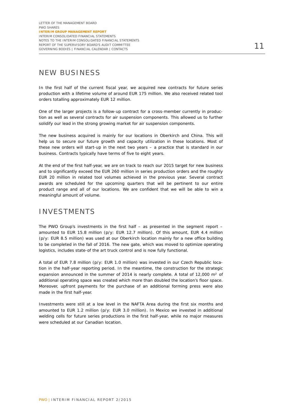### NEW BUSINESS

In the first half of the current fiscal year, we acquired new contracts for future series production with a lifetime volume of around EUR 175 million. We also received related tool orders totalling approximately EUR 12 million.

One of the larger projects is a follow-up contract for a cross-member currently in production as well as several contracts for air suspension components. This allowed us to further solidify our lead in the strong growing market for air suspension components.

The new business acquired is mainly for our locations in Oberkirch and China. This will help us to secure our future growth and capacity utilization in these locations. Most of these new orders will start-up in the next two years – a practice that is standard in our business. Contracts typically have terms of five to eight years.

At the end of the first half-year, we are on track to reach our 2015 target for new business and to significantly exceed the EUR 260 million in series production orders and the roughly EUR 20 million in related tool volumes achieved in the previous year. Several contract awards are scheduled for the upcoming quarters that will be pertinent to our entire product range and all of our locations. We are confident that we will be able to win a meaningful amount of volume.

### INVESTMENTS

The PWO Group's investments in the first half  $-$  as presented in the segment report  $$ amounted to EUR 15.8 million (p/y: EUR 12.7 million). Of this amount, EUR 4.4 million (p/y: EUR 8.5 million) was used at our Oberkirch location mainly for a new office building to be completed in the fall of 2016. The new gate, which was moved to optimize operating logistics, includes state-of the art truck control and is now fully functional.

A total of EUR 7.8 million (p/y: EUR 1.0 million) was invested in our Czech Republic location in the half-year reporting period. In the meantime, the construction for the strategic expansion announced in the summer of 2014 is nearly complete. A total of 12,000 m<sup>2</sup> of additional operating space was created which more than doubled the location's floor space. Moreover, upfront payments for the purchase of an additional forming press were also made in the first half-year.

Investments were still at a low level in the NAFTA Area during the first six months and amounted to EUR 1.2 million (p/y: EUR 3.0 million). In Mexico we invested in additional welding cells for future series productions in the first half-year, while no major measures were scheduled at our Canadian location.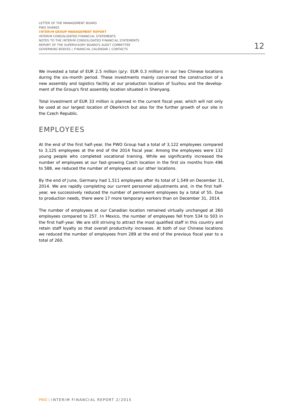We invested a total of EUR 2.5 million (p/y: EUR 0.3 million) in our two Chinese locations during the six-month period. These investments mainly concerned the construction of a new assembly and logistics facility at our production location of Suzhou and the development of the Group's first assembly location situated in Shenyang.

Total investment of EUR 33 million is planned in the current fiscal year, which will not only be used at our largest location of Oberkirch but also for the further growth of our site in the Czech Republic.

### EMPLOYEES

At the end of the first half-year, the PWO Group had a total of 3,122 employees compared to 3,125 employees at the end of the 2014 fiscal year. Among the employees were 132 young people who completed vocational training. While we significantly increased the number of employees at our fast-growing Czech location in the first six months from 496 to 588, we reduced the number of employees at our other locations.

By the end of June, Germany had 1,511 employees after its total of 1,549 on December 31, 2014. We are rapidly completing our current personnel adjustments and, in the first halfyear, we successively reduced the number of permanent employees by a total of 55. Due to production needs, there were 17 more temporary workers than on December 31, 2014.

The number of employees at our Canadian location remained virtually unchanged at 260 employees compared to 257. In Mexico, the number of employees fell from 534 to 503 in the first half-year. We are still striving to attract the most qualified staff in this country and retain staff loyalty so that overall productivity increases. At both of our Chinese locations we reduced the number of employees from 289 at the end of the previous fiscal year to a total of 260.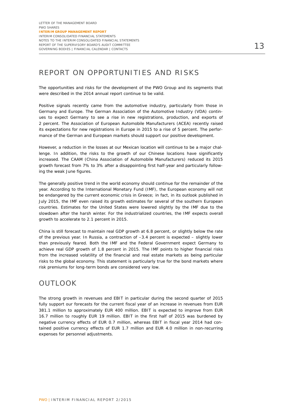### REPORT ON OPPORTUNITIES AND RISKS

The opportunities and risks for the development of the PWO Group and its segments that were described in the 2014 annual report continue to be valid.

Positive signals recently came from the automotive industry, particularly from those in Germany and Europe. The German Association of the Automotive Industry (VDA) continues to expect Germany to see a rise in new registrations, production, and exports of 2 percent. The Association of European Automobile Manufacturers (ACEA) recently raised its expectations for new registrations in Europe in 2015 to a rise of 5 percent. The performance of the German and European markets should support our positive development.

However, a reduction in the losses at our Mexican location will continue to be a major challenge. In addition, the risks to the growth of our Chinese locations have significantly increased. The CAAM (China Association of Automobile Manufacturers) reduced its 2015 growth forecast from 7% to 3% after a disappointing first half-year and particularly following the weak June figures.

The generally positive trend in the world economy should continue for the remainder of the year. According to the International Monetary Fund (IMF), the European economy will not be endangered by the current economic crisis in Greece; in fact, in its outlook published in July 2015, the IMF even raised its growth estimates for several of the southern European countries. Estimates for the United States were lowered slightly by the IMF due to the slowdown after the harsh winter. For the industrialized countries, the IMF expects overall growth to accelerate to 2.1 percent in 2015.

China is still forecast to maintain real GDP growth at 6.8 percent, or slightly below the rate of the previous year. In Russia, a contraction of –3.4 percent is expected – slightly lower than previously feared. Both the IMF and the Federal Government expect Germany to achieve real GDP growth of 1.8 percent in 2015. The IMF points to higher financial risks from the increased volatility of the financial and real estate markets as being particular risks to the global economy. This statement is particularly true for the bond markets where risk premiums for long-term bonds are considered very low.

### OUTLOOK

The strong growth in revenues and EBIT in particular during the second quarter of 2015 fully support our forecasts for the current fiscal year of an increase in revenues from EUR 381.1 million to approximately EUR 400 million. EBIT is expected to improve from EUR 16.7 million to roughly EUR 19 million. EBIT in the first half of 2015 was burdened by negative currency effects of EUR 0.7 million, whereas EBIT in fiscal year 2014 had contained positive currency effects of EUR 1.7 million and EUR 4.0 million in non-recurring expenses for personnel adjustments.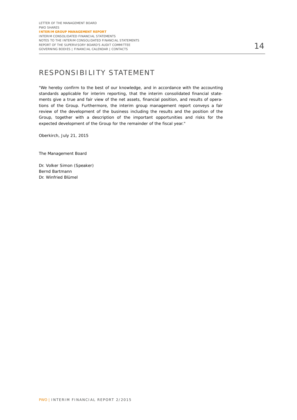### RESPONSIBILITY STATEMENT

"We hereby confirm to the best of our knowledge, and in accordance with the accounting standards applicable for interim reporting, that the interim consolidated financial statements give a true and fair view of the net assets, financial position, and results of operations of the Group. Furthermore, the interim group management report conveys a fair review of the development of the business including the results and the position of the Group, together with a description of the important opportunities and risks for the expected development of the Group for the remainder of the fiscal year."

Oberkirch, July 21, 2015

The Management Board

Dr. Volker Simon (Speaker) Bernd Bartmann Dr. Winfried Blümel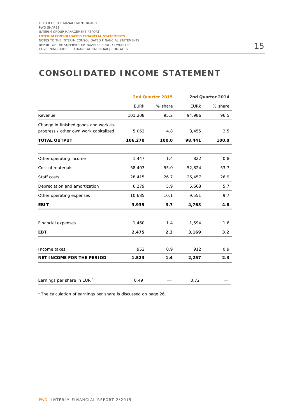# **CONSOLIDATED INCOME STATEMENT**

|                                        | 2nd Quarter 2015 |         | 2nd Quarter 2014 |         |
|----------------------------------------|------------------|---------|------------------|---------|
|                                        | <b>EURK</b>      | % share | <b>EURK</b>      | % share |
| Revenue                                | 101,208          | 95.2    | 94,986           | 96.5    |
| Change in finished goods and work-in-  |                  |         |                  |         |
| progress / other own work capitalized  | 5,062            | 4.8     | 3,455            | 3.5     |
| <b>TOTAL OUTPUT</b>                    | 106,270          | 100.0   | 98,441           | 100.0   |
|                                        |                  |         |                  |         |
| Other operating income                 | 1,447            | 1.4     | 822              | 0.8     |
| Cost of materials                      | 58,403           | 55.0    | 52,824           | 53.7    |
| Staff costs                            | 28,415           | 26.7    | 26,457           | 26.9    |
| Depreciation and amortization          | 6,279            | 5.9     | 5,668            | 5.7     |
| Other operating expenses               | 10,685           | 10.1    | 9,551            | 9.7     |
| <b>EBIT</b>                            | 3,935            | 3.7     | 4,763            | 4.8     |
|                                        |                  |         |                  |         |
| <b>Financial expenses</b>              | 1,460            | 1.4     | 1,594            | 1.6     |
| <b>EBT</b>                             | 2,475            | 2.3     | 3,169            | 3.2     |
|                                        |                  |         |                  |         |
| Income taxes                           | 952              | 0.9     | 912              | 0.9     |
| <b>NET INCOME FOR THE PERIOD</b>       | 1,523            | 1.4     | 2,257            | 2.3     |
|                                        |                  |         |                  |         |
| Earnings per share in EUR <sup>1</sup> | 0.49             |         | 0.72             |         |

 $1$  The calculation of earnings per share is discussed on page 26.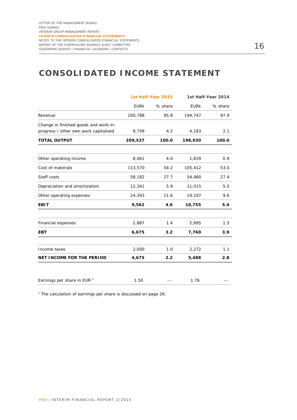# **CONSOLIDATED INCOME STATEMENT**

|                                        |             | 1st Half-Year 2015 | 1st Half-Year 2014 |         |
|----------------------------------------|-------------|--------------------|--------------------|---------|
|                                        | <b>EURK</b> | % share            | <b>EURK</b>        | % share |
| Revenue                                | 200,788     | 95.8               | 194,747            | 97.9    |
| Change in finished goods and work-in-  |             |                    |                    |         |
| progress / other own work capitalized  | 8,749       | 4.2                | 4,183              | 2.1     |
| <b>TOTAL OUTPUT</b>                    | 209,537     | 100.0              | 198,930            | 100.0   |
|                                        |             |                    |                    |         |
| Other operating income                 | 8,461       | 4.0                | 1,839              | 0.9     |
| Cost of materials                      | 113,570     | 54.2               | 105,412            | 53.0    |
| Staff costs                            | 58,182      | 27.7               | 54,480             | 27.4    |
| Depreciation and amortization          | 12,341      | 5.9                | 11,015             | 5.5     |
| Other operating expenses               | 24,343      | 11.6               | 19,107             | 9.6     |
| <b>EBIT</b>                            | 9,562       | 4.6                | 10,755             | 5.4     |
|                                        |             |                    |                    |         |
| Financial expenses                     | 2,887       | 1.4                | 2,995              | 1.5     |
| <b>EBT</b>                             | 6,675       | 3.2                | 7,760              | 3.9     |
|                                        |             |                    |                    |         |
| Income taxes                           | 2,000       | 1.0                | 2,272              | 1.1     |
| <b>NET INCOME FOR THE PERIOD</b>       | 4,675       | 2.2                | 5,488              | 2.8     |
|                                        |             |                    |                    |         |
| Earnings per share in EUR <sup>1</sup> | 1.50        |                    | 1.76               |         |

 $1$  The calculation of earnings per share is discussed on page 26.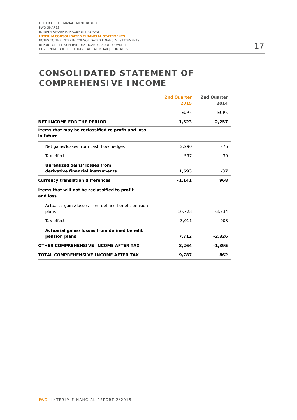# **CONSOLIDATED STATEMENT OF COMPREHENSIVE INCOME**

|                                                                 | 2nd Quarter | 2nd Quarter |
|-----------------------------------------------------------------|-------------|-------------|
|                                                                 | 2015        | 2014        |
|                                                                 | <b>EURK</b> | <b>EURK</b> |
| NET INCOME FOR THE PERIOD                                       | 1,523       | 2,257       |
| I tems that may be reclassified to profit and loss<br>in future |             |             |
| Net gains/losses from cash flow hedges                          | 2,290       | $-76$       |
| Tax effect                                                      | $-597$      | 39          |
| Unrealized gains/losses from                                    |             |             |
| derivative financial instruments                                | 1,693       | $-37$       |
| <b>Currency translation differences</b>                         | $-1,141$    | 968         |
| I tems that will not be reclassified to profit<br>and loss      |             |             |
| Actuarial gains/losses from defined benefit pension             |             |             |
| plans                                                           | 10,723      | $-3,234$    |
| Tax effect                                                      | $-3,011$    | 908         |
| Actuarial gains/losses from defined benefit                     |             |             |
| pension plans                                                   | 7,712       | $-2,326$    |
| OTHER COMPREHENSIVE INCOME AFTER TAX                            | 8,264       | $-1,395$    |
| TOTAL COMPREHENSIVE INCOME AFTER TAX                            | 9,787       | 862         |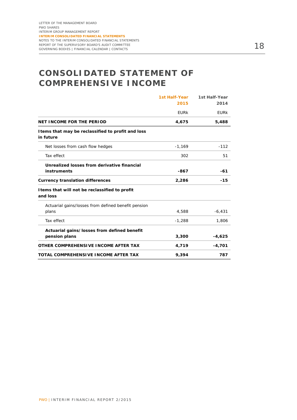# **CONSOLIDATED STATEMENT OF COMPREHENSIVE INCOME**

|                                                                 | <b>1st Half-Year</b> | <b>1st Half-Year</b> |
|-----------------------------------------------------------------|----------------------|----------------------|
|                                                                 | 2015                 | 2014                 |
|                                                                 | <b>EURK</b>          | <b>EURK</b>          |
| <b>NET INCOME FOR THE PERIOD</b>                                | 4,675                | 5,488                |
| I tems that may be reclassified to profit and loss<br>in future |                      |                      |
| Net losses from cash flow hedges                                | $-1,169$             | $-112$               |
| Tax effect                                                      | 302                  | 51                   |
| Unrealized losses from derivative financial                     |                      |                      |
| instruments                                                     | $-867$               | $-61$                |
| <b>Currency translation differences</b>                         | 2,286                | $-15$                |
| I tems that will not be reclassified to profit<br>and loss      |                      |                      |
| Actuarial gains/losses from defined benefit pension             |                      |                      |
| plans                                                           | 4,588                | $-6,431$             |
| Tax effect                                                      | $-1,288$             | 1,806                |
| Actuarial gains/losses from defined benefit                     |                      |                      |
| pension plans                                                   | 3,300                | $-4,625$             |
| OTHER COMPREHENSIVE INCOME AFTER TAX                            | 4,719                | $-4,701$             |
| TOTAL COMPREHENSIVE INCOME AFTER TAX                            | 9,394                | 787                  |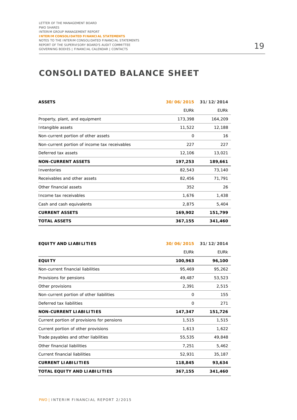# **CONSOLIDATED BALANCE SHEET**

| <b>ASSETS</b>                                 | 30/06/2015  | 31/12/2014  |
|-----------------------------------------------|-------------|-------------|
|                                               | <b>EURK</b> | <b>EURK</b> |
| Property, plant, and equipment                | 173,398     | 164,209     |
| Intangible assets                             | 11,522      | 12,188      |
| Non-current portion of other assets           | $\Omega$    | 16          |
| Non-current portion of income tax receivables | 227         | 227         |
| Deferred tax assets                           | 12,106      | 13,021      |
| <b>NON-CURRENT ASSETS</b>                     | 197,253     | 189,661     |
| Inventories                                   | 82,543      | 73,140      |
| Receivables and other assets                  | 82,456      | 71,791      |
| Other financial assets                        | 352         | 26          |
| Income tax receivables                        | 1,676       | 1,438       |
| Cash and cash equivalents                     | 2,875       | 5,404       |
| <b>CURRENT ASSETS</b>                         | 169,902     | 151,799     |
| <b>TOTAL ASSETS</b>                           | 367,155     | 341,460     |

| <b>EQUITY AND LIABILITIES</b>              | 30/06/2015  | 31/12/2014  |
|--------------------------------------------|-------------|-------------|
|                                            | <b>EURK</b> | <b>EURK</b> |
| <b>EQUITY</b>                              | 100,963     | 96,100      |
| Non-current financial liabilities          | 95,469      | 95,262      |
| Provisions for pensions                    | 49,487      | 53,523      |
| Other provisions                           | 2,391       | 2,515       |
| Non-current portion of other liabilities   | 0           | 155         |
| Deferred tax liabilities                   | 0           | 271         |
| <b>NON-CURRENT LIABILITIES</b>             | 147,347     | 151,726     |
| Current portion of provisions for pensions | 1,515       | 1,515       |
| Current portion of other provisions        | 1,613       | 1,622       |
| Trade payables and other liabilities       | 55,535      | 49,848      |
| Other financial liabilities                | 7,251       | 5,462       |
| <b>Current financial liabilities</b>       | 52,931      | 35,187      |
| <b>CURRENT LIABILITIES</b>                 | 118,845     | 93,634      |
| TOTAL EQUITY AND LIABILITIES               | 367,155     | 341,460     |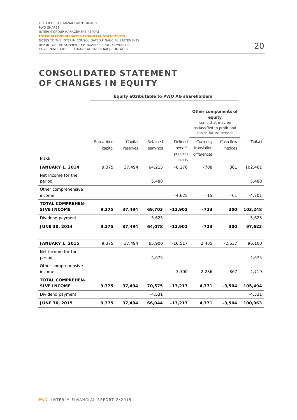# **CONSOLIDATED STATEMENT OF CHANGES IN EQUITY**

**Equity attributable to PWO AG shareholders** 

|                                               |            |          |          |                    | Other components of<br>equity<br>items that may be<br>reclassified to profit and<br>loss in future periods |           |              |
|-----------------------------------------------|------------|----------|----------|--------------------|------------------------------------------------------------------------------------------------------------|-----------|--------------|
|                                               | Subscribed | Capital  | Retained | Defined            | Currency                                                                                                   | Cash flow | <b>Total</b> |
|                                               | capital    | reserves | earnings | benefit<br>pension | translation<br>differences                                                                                 | hedges    |              |
| <b>EURK</b>                                   |            |          |          | plans              |                                                                                                            |           |              |
| <b>JANUARY 1, 2014</b>                        | 9,375      | 37,494   | 64,215   | $-8,276$           | $-708$                                                                                                     | 361       | 102,461      |
| Net income for the<br>period                  |            |          | 5,488    |                    |                                                                                                            |           | 5,488        |
| Other comprehensive<br>income                 |            |          |          | $-4,625$           | $-15$                                                                                                      | $-61$     | $-4,701$     |
| <b>TOTAL COMPREHEN-</b>                       |            |          |          |                    |                                                                                                            |           |              |
| <b>SIVE INCOME</b>                            | 9,375      | 37,494   | 69,703   | $-12,901$          | $-723$                                                                                                     | 300       | 103,248      |
| Dividend payment                              |            |          | $-5,625$ |                    |                                                                                                            |           | $-5,625$     |
| <b>JUNE 30, 2014</b>                          | 9,375      | 37,494   | 64,078   | $-12,901$          | $-723$                                                                                                     | 300       | 97,623       |
|                                               |            |          |          |                    |                                                                                                            |           |              |
| <b>JANUARY 1, 2015</b>                        | 9,375      | 37,494   | 65,900   | $-16,517$          | 2,485                                                                                                      | $-2,637$  | 96,100       |
| Net income for the<br>period                  |            |          | 4,675    |                    |                                                                                                            |           | 4,675        |
| Other comprehensive                           |            |          |          |                    |                                                                                                            |           |              |
| income                                        |            |          |          | 3,300              | 2,286                                                                                                      | $-867$    | 4,719        |
| <b>TOTAL COMPREHEN-</b><br><b>SIVE INCOME</b> | 9,375      | 37,494   | 70,575   | $-13,217$          | 4,771                                                                                                      | $-3,504$  | 105,494      |
| Dividend payment                              |            |          | $-4,531$ |                    |                                                                                                            |           | $-4,531$     |
| <b>JUNE 30, 2015</b>                          | 9,375      | 37,494   | 66,044   | $-13,217$          | 4,771                                                                                                      | $-3,504$  | 100,963      |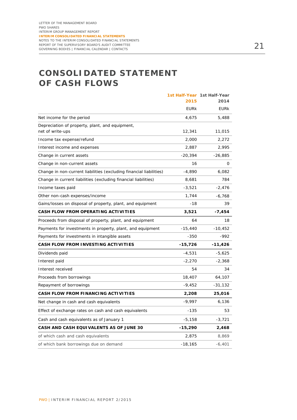# **CONSOLIDATED STATEMENT OF CASH FLOWS**

|                                                                     |             | 1st Half-Year 1st Half-Year |
|---------------------------------------------------------------------|-------------|-----------------------------|
|                                                                     | 2015        | 2014                        |
|                                                                     | <b>EURK</b> | EURk                        |
| Net income for the period                                           | 4,675       | 5,488                       |
| Depreciation of property, plant, and equipment,                     |             |                             |
| net of write-ups                                                    | 12,341      | 11,015                      |
| Income tax expense/refund                                           | 2,000       | 2,272                       |
| Interest income and expenses                                        | 2,887       | 2,995                       |
| Change in current assets                                            | $-20,394$   | $-26,885$                   |
| Change in non-current assets                                        | 16          | 0                           |
| Change in non-current liabilities (excluding financial liabilities) | $-4,890$    | 6,082                       |
| Change in current liabilities (excluding financial liabilities)     | 8,681       | 784                         |
| Income taxes paid                                                   | $-3,521$    | -2,476                      |
| Other non-cash expenses/income                                      | 1,744       | $-6,768$                    |
| Gains/losses on disposal of property, plant, and equipment          | $-18$       | 39                          |
| <b>CASH FLOW FROM OPERATING ACTIVITIES</b>                          | 3,521       | $-7,454$                    |
| Proceeds from disposal of property, plant, and equipment            | 64          | 18                          |
| Payments for investments in property, plant, and equipment          | $-15,440$   | -10,452                     |
| Payments for investments in intangible assets                       | $-350$      | -992                        |
| CASH FLOW FROM INVESTING ACTIVITIES                                 | $-15,726$   | $-11,426$                   |
| Dividends paid                                                      | $-4,531$    | $-5,625$                    |
| Interest paid                                                       | $-2,270$    | $-2,368$                    |
| Interest received                                                   | 54          | 34                          |
| Proceeds from borrowings                                            | 18,407      | 64,107                      |
| Repayment of borrowings                                             | $-9,452$    | $-31,132$                   |
| CASH FLOW FROM FINANCING ACTIVITIES                                 | 2,208       | 25,016                      |
| Net change in cash and cash equivalents                             | $-9,997$    | 6,136                       |
| Effect of exchange rates on cash and cash equivalents               | $-135$      | 53                          |
| Cash and cash equivalents as of January 1                           | $-5,158$    | $-3,721$                    |
| CASH AND CASH EQUIVALENTS AS OF JUNE 30                             | -15,290     | 2,468                       |
| of which cash and cash equivalents                                  | 2,875       | 8,869                       |
| of which bank borrowings due on demand                              | $-18,165$   | -6,401                      |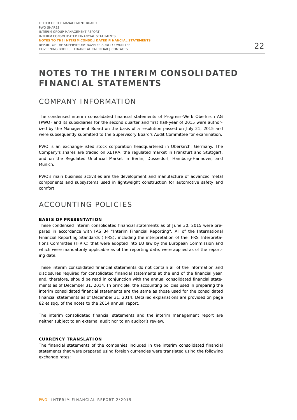# **NOTES TO THE INTERIM CONSOLIDATED FINANCIAL STATEMENTS**

### COMPANY INFORMATION

The condensed interim consolidated financial statements of Progress-Werk Oberkirch AG (PWO) and its subsidiaries for the second quarter and first half-year of 2015 were authorized by the Management Board on the basis of a resolution passed on July 21, 2015 and were subsequently submitted to the Supervisory Board's Audit Committee for examination.

PWO is an exchange-listed stock corporation headquartered in Oberkirch, Germany. The Company's shares are traded on XETRA, the regulated market in Frankfurt and Stuttgart, and on the Regulated Unofficial Market in Berlin, Düsseldorf, Hamburg-Hannover, and Munich.

PWO's main business activities are the development and manufacture of advanced metal components and subsystems used in lightweight construction for automotive safety and comfort.

### ACCOUNTING POLICIES

#### **BASIS OF PRESENTATION**

These condensed interim consolidated financial statements as of June 30, 2015 were prepared in accordance with IAS 34 "Interim Financial Reporting". All of the International Financial Reporting Standards (IFRS), including the interpretation of the IFRS Interpretations Committee (IFRIC) that were adopted into EU law by the European Commission and which were mandatorily applicable as of the reporting date, were applied as of the reporting date.

These interim consolidated financial statements do not contain all of the information and disclosures required for consolidated financial statements at the end of the financial year, and, therefore, should be read in conjunction with the annual consolidated financial statements as of December 31, 2014. In principle, the accounting policies used in preparing the interim consolidated financial statements are the same as those used for the consolidated financial statements as of December 31, 2014. Detailed explanations are provided on page 82 et sqq. of the notes to the 2014 annual report.

The interim consolidated financial statements and the interim management report are neither subject to an external audit nor to an auditor's review.

#### **CURRENCY TRANSLATION**

The financial statements of the companies included in the interim consolidated financial statements that were prepared using foreign currencies were translated using the following exchange rates: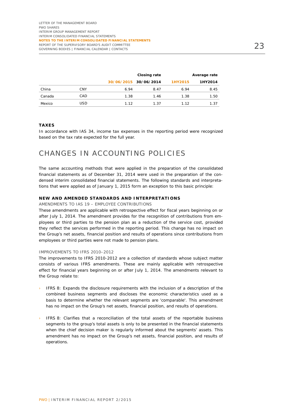|        |     |      | Closing rate          |         | Average rate |
|--------|-----|------|-----------------------|---------|--------------|
|        |     |      | 30/06/2015 30/06/2014 | 1HY2015 | 1HY2014      |
| China  | CNY | 6.94 | 8.47                  | 6.94    | 8.45         |
| Canada | CAD | 1.38 | 1.46                  | 1.38    | 1.50         |
| Mexico | USD | 1.12 | 1.37                  | 1.12    | 1.37         |

#### **TAXES**

In accordance with IAS 34, income tax expenses in the reporting period were recognized based on the tax rate expected for the full year.

### CHANGES IN ACCOUNTING POLICIES

The same accounting methods that were applied in the preparation of the consolidated financial statements as of December 31, 2014 were used in the preparation of the condensed interim consolidated financial statements. The following standards and interpretations that were applied as of January 1, 2015 form an exception to this basic principle:

#### **NEW AND AMENDED STANDARDS AND INTERPRETATIONS**

#### AMENDMENTS TO IAS 19 – EMPLOYEE CONTRIBUTIONS

These amendments are applicable with retrospective effect for fiscal years beginning on or after July 1, 2014. The amendment provides for the recognition of contributions from employees or third parties to the pension plan as a reduction of the service cost, provided they reflect the services performed in the reporting period. This change has no impact on the Group's net assets, financial position and results of operations since contributions from employees or third parties were not made to pension plans.

#### IMPROVEMENTS TO IFRS 2010–2012

The improvements to IFRS 2010-2012 are a collection of standards whose subject matter consists of various IFRS amendments. These are mainly applicable with retrospective effect for financial years beginning on or after July 1, 2014. The amendments relevant to the Group relate to:

- IFRS 8: Expands the disclosure requirements with the inclusion of a description of the combined business segments and discloses the economic characteristics used as a basis to determine whether the relevant segments are 'comparable'. This amendment has no impact on the Group's net assets, financial position, and results of operations.
- IFRS 8: Clarifies that a reconciliation of the total assets of the reportable business segments to the group's total assets is only to be presented in the financial statements when the chief decision maker is regularly informed about the segments' assets. This amendment has no impact on the Group's net assets, financial position, and results of operations.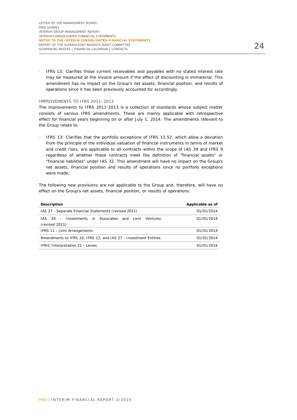› IFRS 13: Clarifies those current receivables and payables with no stated interest rate may be measured at the invoice amount if the effect of discounting is immaterial. This amendment has no impact on the Group's net assets, financial position, and results of operations since it has been previously accounted for accordingly.

#### IMPROVEMENTS TO IFRS 2011–2013

The improvements to IFRS 2011-2013 is a collection of standards whose subject matter consists of various IFRS amendments. These are mainly applicable with retrospective effect for financial years beginning on or after July 1, 2014. The amendments relevant to the Group relate to:

› IFRS 13: Clarifies that the portfolio exceptions of IFRS 13.52, which allow a deviation from the principle of the individual valuation of financial instruments in terms of market and credit risks, are applicable to all contracts within the scope of IAS 39 and IFRS 9 regardless of whether these contracts meet the definition of "financial assets" or "financial liabilities" under IAS 32. This amendment will have no impact on the Group's net assets, financial position and results of operations since no portfolio exceptions were made.

The following new provisions are not applicable to the Group and, therefore, will have no effect on the Group's net assets, financial position, or results of operations:

| <b>Description</b>                                                      | Applicable as of |
|-------------------------------------------------------------------------|------------------|
| IAS 27 - Separate Financial Statements (revised 2011)                   | 01/01/2014       |
| IAS 28 - Investments in Associates and Joint Ventures<br>(revised 2011) | 01/01/2014       |
| IFRS 11 - Joint Arrangements                                            | 01/01/2014       |
| Amendments to IFRS 10, IFRS 12, and IAS 27 - Investment Entities        | 01/01/2014       |
| <b>IFRIC Interpretation 21 - Levies</b>                                 | 01/01/2014       |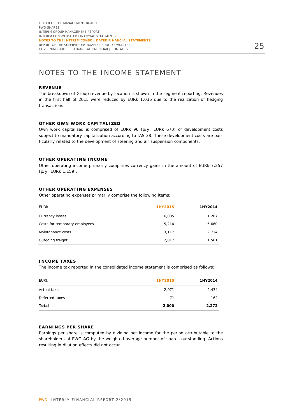### NOTES TO THE INCOME STATEMENT

#### **REVENUE**

The breakdown of Group revenue by location is shown in the segment reporting. Revenues in the first half of 2015 were reduced by EURk 1,036 due to the realization of hedging transactions.

#### **OTHER OWN WORK CAPITALIZED**

Own work capitalized is comprised of EURk 96 (p/y: EURk 670) of development costs subject to mandatory capitalization according to IAS 38. These development costs are particularly related to the development of steering and air suspension components.

#### **OTHER OPERATING INCOME**

Other operating income primarily comprises currency gains in the amount of EURk 7,257 (p/y: EURk 1,159).

#### **OTHER OPERATING EXPENSES**

Other operating expenses primarily comprise the following items:

| <b>EURK</b>                   | 1HY2015 | 1HY2014 |
|-------------------------------|---------|---------|
| Currency losses               | 6,035   | 1,287   |
| Costs for temporary employees | 5,214   | 6,660   |
| Maintenance costs             | 3,117   | 2,714   |
| Outgoing freight              | 2,017   | 1,561   |

#### **INCOME TAXES**

The income tax reported in the consolidated income statement is comprised as follows:

| <b>EURK</b>    | 1HY2015 | 1HY2014 |
|----------------|---------|---------|
| Actual taxes   | 2,071   | 2,434   |
| Deferred taxes | $-71$   | $-162$  |
| <b>Total</b>   | 2,000   | 2,272   |

#### **EARNINGS PER SHARE**

Earnings per share is computed by dividing net income for the period attributable to the shareholders of PWO AG by the weighted average number of shares outstanding. Actions resulting in dilution effects did not occur.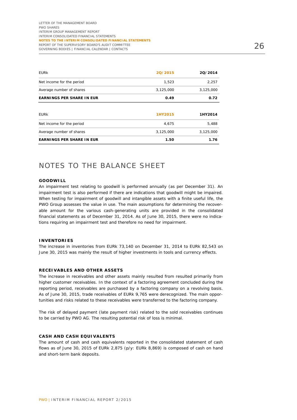| <b>EURK</b>                      | 20/2015   | 20/2014   |
|----------------------------------|-----------|-----------|
| Net income for the period        | 1,523     | 2,257     |
| Average number of shares         | 3,125,000 | 3,125,000 |
| <b>EARNINGS PER SHARE IN EUR</b> | 0.49      | 0.72      |
|                                  |           |           |
| <b>EURK</b>                      | 1HY2015   | 1HY2014   |
| Net income for the period        | 4,675     | 5,488     |
| Average number of shares         | 3,125,000 | 3,125,000 |
| <b>EARNINGS PER SHARE IN EUR</b> | 1.50      | 1.76      |

### NOTES TO THE BALANCE SHEET

#### **GOODWILL**

An impairment test relating to goodwill is performed annually (as per December 31). An impairment test is also performed if there are indications that goodwill might be impaired. When testing for impairment of goodwill and intangible assets with a finite useful life, the PWO Group assesses the value in use. The main assumptions for determining the recoverable amount for the various cash-generating units are provided in the consolidated financial statements as of December 31, 2014. As of June 30, 2015, there were no indications requiring an impairment test and therefore no need for impairment.

#### **INVENTORIES**

The increase in inventories from EURk 73,140 on December 31, 2014 to EURk 82,543 on June 30, 2015 was mainly the result of higher investments in tools and currency effects.

#### **RECEIVABLES AND OTHER ASSETS**

The increase in receivables and other assets mainly resulted from resulted primarily from higher customer receivables. In the context of a factoring agreement concluded during the reporting period, receivables are purchased by a factoring company on a revolving basis. As of June 30, 2015, trade receivables of EURk 9,765 were derecognized. The main opportunities and risks related to these receivables were transferred to the factoring company.

The risk of delayed payment (late payment risk) related to the sold receivables continues to be carried by PWO AG. The resulting potential risk of loss is minimal.

#### **CASH AND CASH EQUIVALENTS**

The amount of cash and cash equivalents reported in the consolidated statement of cash flows as of June 30, 2015 of EURk 2,875 (p/y: EURk 8,869) is composed of cash on hand and short-term bank deposits.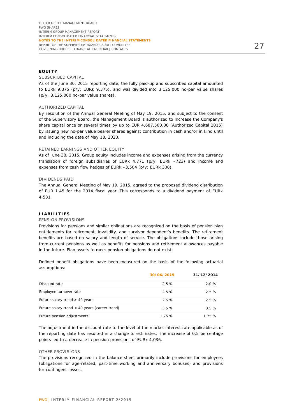#### **EQUITY**

#### SUBSCRIBED CAPITAL

As of the June 30, 2015 reporting date, the fully paid-up and subscribed capital amounted to EURk 9,375 (p/y: EURk 9,375), and was divided into 3,125,000 no-par value shares (p/y: 3,125,000 no-par value shares).

#### AUTHORIZED CAPITAL

By resolution of the Annual General Meeting of May 19, 2015, and subject to the consent of the Supervisory Board, the Management Board is authorized to increase the Company's share capital once or several times by up to EUR 4,687,500.00 (Authorized Capital 2015) by issuing new no-par value bearer shares against contribution in cash and/or in kind until and including the date of May 18, 2020.

#### RETAINED EARNINGS AND OTHER EQUITY

As of June 30, 2015, Group equity includes income and expenses arising from the currency translation of foreign subsidiaries of EURk 4,771 (p/y: EURk –723) and income and expenses from cash flow hedges of EURk –3,504 (p/y: EURk 300).

#### DIVIDENDS PAID

The Annual General Meeting of May 19, 2015, agreed to the proposed dividend distribution of EUR 1.45 for the 2014 fiscal year. This corresponds to a dividend payment of EURk 4,531.

#### **LIABILITIES**

#### PENSION PROVISIONS

Provisions for pensions and similar obligations are recognized on the basis of pension plan entitlements for retirement, invalidity, and survivor dependent's benefits. The retirement benefits are based on salary and length of service. The obligations include those arising from current pensions as well as benefits for pensions and retirement allowances payable in the future. Plan assets to meet pension obligations do not exist.

Defined benefit obligations have been measured on the basis of the following actuarial assumptions:

|                                                 | 30/06/2015 | 31/12/2014 |
|-------------------------------------------------|------------|------------|
| Discount rate                                   | 2.5%       | 2.0%       |
| Employee turnover rate                          | 2.5%       | 2.5%       |
| Future salary trend $>$ 40 years                | 2.5%       | 2.5%       |
| Future salary trend $<$ 40 years (career trend) | 3.5%       | 3.5%       |
| Future pension adjustments                      | 1.75%      | 1.75%      |

The adjustment in the discount rate to the level of the market interest rate applicable as of the reporting date has resulted in a change to estimates. The increase of 0.5 percentage points led to a decrease in pension provisions of EURk 4,036.

#### OTHER PROVISIONS

The provisions recognized in the balance sheet primarily include provisions for employees (obligations for age-related, part-time working and anniversary bonuses) and provisions for contingent losses.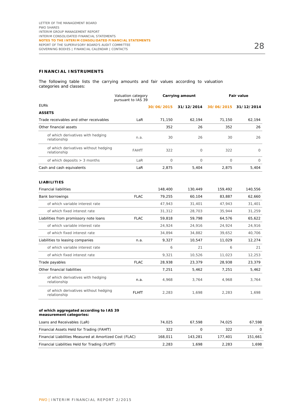#### **FINANCIAL INSTRUMENTS**

The following table lists the carrying amounts and fair values according to valuation categories and classes:

|                                                      | Valuation category<br>pursuant to IAS 39 | Carrying amount |            | <b>Fair value</b> |            |  |
|------------------------------------------------------|------------------------------------------|-----------------|------------|-------------------|------------|--|
| <b>EURK</b>                                          |                                          | 30/06/2015      | 31/12/2014 | 30/06/2015        | 31/12/2014 |  |
| <b>ASSETS</b>                                        |                                          |                 |            |                   |            |  |
| Trade receivables and other receivables              | LaR                                      | 71,150          | 62,194     | 71,150            | 62,194     |  |
| Other financial assets                               |                                          | 352             | 26         | 352               | 26         |  |
| of which derivatives with hedging<br>relationship    | n.a.                                     | 30              | 26         | 30                | 26         |  |
| of which derivatives without hedging<br>relationship | <b>FAHfT</b>                             | 322             | 0          | 322               | $\Omega$   |  |
| of which deposits $> 3$ months                       | LaR                                      | $\Omega$        | $\Omega$   | $\Omega$          | $\Omega$   |  |
| Cash and cash equivalents                            | LaR                                      | 2,875           | 5,404      | 2,875             | 5,404      |  |
| <b>LIABILITIES</b>                                   |                                          |                 |            |                   |            |  |
| <b>Financial liabilities</b>                         |                                          | 148,400         | 130.449    | 159,492           | 140.556    |  |
| Bank borrowings                                      | <b>FLAC</b>                              | 79.255          | 60,104     | 83.887            | 62.660     |  |
| of which variable interest rate                      |                                          | 47,943          | 31,401     | 47,943            | 31,401     |  |
| of which fixed interest rate                         |                                          | 31,312          | 28,703     | 35,944            | 31,259     |  |
| Liabilities from promissory note loans               | <b>FLAC</b>                              | 59,818          | 59,798     | 64,576            | 65.622     |  |
| of which variable interest rate                      |                                          | 24,924          | 24,916     | 24,924            | 24,916     |  |
| of which fixed interest rate                         |                                          | 34,894          | 34,882     | 39,652            | 40,706     |  |
| Liabilities to leasing companies                     | n.a.                                     | 9,327           | 10,547     | 11,029            | 12,274     |  |
| of which variable interest rate                      |                                          | 6               | 21         | 6                 | 21         |  |
| of which fixed interest rate                         |                                          | 9,321           | 10,526     | 11,023            | 12,253     |  |
| Trade payables                                       | <b>FLAC</b>                              | 28,938          | 23,379     | 28,938            | 23,379     |  |
| Other financial liabilities                          |                                          | 7,251           | 5,462      | 7,251             | 5,462      |  |
| of which derivatives with hedging<br>relationship    | n.a.                                     | 4,968           | 3,764      | 4,968             | 3.764      |  |
| of which derivatives without hedging<br>relationship | <b>FLHfT</b>                             | 2,283           | 1,698      | 2,283             | 1,698      |  |

#### **of which aggregated according to IAS 39 measurement categories:**

| Loans and Receivables (LaR)                             | 74.025  | 67.598  | 74.025  | 67.598   |
|---------------------------------------------------------|---------|---------|---------|----------|
| Financial Assets Held for Trading (FAHfT)               | 322     |         | 322     | $\Omega$ |
| Financial Liabilities Measured at Amortized Cost (FLAC) | 168,011 | 143.281 | 177.401 | 151.661  |
| Financial Liabilities Held for Trading (FLHfT)          | 2.283   | 1.698   | 2.283   | 1.698    |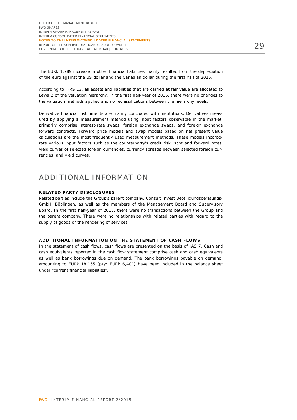The EURk 1,789 increase in other financial liabilities mainly resulted from the depreciation of the euro against the US dollar and the Canadian dollar during the first half of 2015.

According to IFRS 13, all assets and liabilities that are carried at fair value are allocated to Level 2 of the valuation hierarchy. In the first half-year of 2015, there were no changes to the valuation methods applied and no reclassifications between the hierarchy levels.

Derivative financial instruments are mainly concluded with institutions. Derivatives measured by applying a measurement method using input factors observable in the market, primarily comprise interest-rate swaps, foreign exchange swaps, and foreign exchange forward contracts. Forward price models and swap models based on net present value calculations are the most frequently used measurement methods. These models incorporate various input factors such as the counterparty's credit risk, spot and forward rates, yield curves of selected foreign currencies, currency spreads between selected foreign currencies, and yield curves.

### ADDITIONAL INFORMATION

#### **RELATED PARTY DISCLOSURES**

Related parties include the Group's parent company, Consult Invest Beteiligungsberatungs-GmbH, Böblingen, as well as the members of the Management Board and Supervisory Board. In the first half-year of 2015, there were no transactions between the Group and the parent company. There were no relationships with related parties with regard to the supply of goods or the rendering of services.

#### **ADDITIONAL INFORMATION ON THE STATEMENT OF CASH FLOWS**

In the statement of cash flows, cash flows are presented on the basis of IAS 7. Cash and cash equivalents reported in the cash flow statement comprise cash and cash equivalents as well as bank borrowings due on demand. The bank borrowings payable on demand, amounting to EURk 18,165 (p/y: EURk  $6,401$ ) have been included in the balance sheet under "current financial liabilities".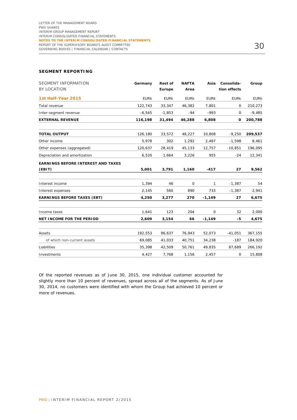#### **SEGMENT REPORTING**

| <b>SEGMENT INFORMATION</b><br><b>BY LOCATION</b> | Germany     | <b>Rest of</b><br>Europe | <b>NAFTA</b><br>Area | Asia        | Consolida-<br>tion effects | Group       |
|--------------------------------------------------|-------------|--------------------------|----------------------|-------------|----------------------------|-------------|
| 1st Half-Year 2015                               | <b>EURK</b> | <b>EURK</b>              | <b>EURK</b>          | <b>EURK</b> | <b>EURK</b>                | <b>EURK</b> |
| Total revenue                                    | 122.743     | 33,347                   | 46,382               | 7,801       | $\mathbf 0$                | 210,273     |
| Inter-segment revenue                            | $-6,545$    | $-1,853$                 | $-94$                | $-993$      | 0                          | $-9,485$    |
| <b>EXTERNAL REVENUE</b>                          | 116,198     | 31,494                   | 46,288               | 6,808       | 0                          | 200,788     |
| <b>TOTAL OUTPUT</b>                              | 126,180     | 33,572                   | 48,227               | 10,808      | $-9,250$                   | 209,537     |
| Other income                                     | 5,978       | 302                      | 1,292                | 2,487       | $-1,598$                   | 8,461       |
| Other expenses (aggregated)                      | 120,637     | 28,419                   | 45,133               | 12,757      | $-10,851$                  | 196,095     |
| Depreciation and amortization                    | 6,520       | 1,664                    | 3,226                | 955         | $-24$                      | 12,341      |
| <b>EARNINGS BEFORE INTEREST AND TAXES</b>        |             |                          |                      |             |                            |             |
| (EBIT)                                           | 5,001       | 3,791                    | 1,160                | $-417$      | 27                         | 9,562       |
| Interest income                                  | 1,394       | 46                       | 0                    | 1           | $-1,387$                   | 54          |
| Interest expenses                                | 2,145       | 560                      | 890                  | 733         | $-1,387$                   | 2,941       |
| <b>EARNINGS BEFORE TAXES (EBT)</b>               | 4,250       | 3,277                    | 270                  | $-1,149$    | 27                         | 6,675       |
| Income taxes                                     | 1,641       | 123                      | 204                  | $\mathbf 0$ | 32                         | 2,000       |
| <b>NET INCOME FOR THE PERIOD</b>                 | 2,609       | 3,154                    | 66                   | $-1,149$    | -5                         | 4,675       |
| Assets                                           | 192,553     | 86,637                   | 76,943               | 52,073      | $-41,051$                  | 367,155     |
| of which non-current assets                      | 69,085      | 41,033                   | 40,751               | 34,238      | $-187$                     | 184,920     |
| Liabilities                                      | 35,398      | 42,509                   | 50,761               | 49,835      | 87,689                     | 266,192     |
| Investments                                      | 4,427       | 7,768                    | 1,156                | 2,457       | 0                          | 15,808      |

Of the reported revenues as of June 30, 2015, one individual customer accounted for slightly more than 10 percent of revenues, spread across all of the segments. As of June 30, 2014, no customers were identified with whom the Group had achieved 10 percent or more of revenues.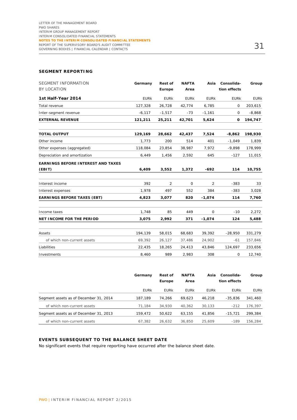#### **SEGMENT REPORTING**

| <b>SEGMENT INFORMATION</b><br>BY LOCATION | Germany     | <b>Rest of</b><br>Europe | <b>NAFTA</b><br>Area | Asia        | Consolida-<br>tion effects | Group       |
|-------------------------------------------|-------------|--------------------------|----------------------|-------------|----------------------------|-------------|
| 1st Half-Year 2014                        | <b>EURK</b> | <b>EURK</b>              | <b>EURK</b>          | <b>EURK</b> | <b>EURK</b>                | <b>EURK</b> |
| Total revenue                             | 127,328     | 26,728                   | 42,774               | 6,785       | 0                          | 203,615     |
| Inter-segment revenue                     | $-6,117$    | $-1,517$                 | $-73$                | $-1,161$    | 0                          | $-8,868$    |
| <b>EXTERNAL REVENUE</b>                   | 121,211     | 25,211                   | 42,701               | 5,624       | 0                          | 194,747     |
| <b>TOTAL OUTPUT</b>                       | 129,169     | 28,662                   | 42,437               | 7,524       | $-8,862$                   | 198,930     |
| Other income                              | 1,773       | 200                      | 514                  | 401         | $-1,049$                   | 1,839       |
| Other expenses (aggregated)               | 118,084     | 23,854                   | 38,987               | 7,972       | $-9,898$                   | 178,999     |
| Depreciation and amortization             | 6,449       | 1,456                    | 2,592                | 645         | $-127$                     | 11,015      |
| <b>EARNINGS BEFORE INTEREST AND TAXES</b> |             |                          |                      |             |                            |             |
| (EBIT)                                    | 6,409       | 3,552                    | 1,372                | $-692$      | 114                        | 10,755      |
| Interest income                           | 392         | 2                        | $\mathbf 0$          | 2           | $-383$                     | 33          |
| Interest expenses                         | 1,978       | 497                      | 552                  | 384         | $-383$                     | 3,028       |
| <b>EARNINGS BEFORE TAXES (EBT)</b>        | 4,823       | 3,077                    | 820                  | $-1,074$    | 114                        | 7,760       |
| Income taxes                              | 1,748       | 85                       | 449                  | $\Omega$    | $-10$                      | 2,272       |
| <b>NET INCOME FOR THE PERIOD</b>          | 3,075       | 2,992                    | 371                  | $-1,074$    | 124                        | 5,488       |
| Assets                                    | 194,139     | 58,015                   | 68,683               | 39,392      | $-28,950$                  | 331,279     |
| of which non-current assets               | 69,392      | 26,127                   | 37,486               | 24,902      | $-61$                      | 157,846     |
| Liabilities                               | 22,435      | 18,265                   | 24,413               | 43,846      | 124,697                    | 233,656     |
| Investments                               | 8,460       | 989                      | 2,983                | 308         | 0                          | 12,740      |

|                                        | Germany     | <b>Rest of</b><br>Europe | <b>NAFTA</b><br>Area | Asia        | Consolida-<br>tion effects | Group       |
|----------------------------------------|-------------|--------------------------|----------------------|-------------|----------------------------|-------------|
|                                        | <b>EURK</b> | <b>EURK</b>              | <b>EURK</b>          | <b>EURK</b> | <b>EURK</b>                | <b>EURK</b> |
| Segment assets as of December 31, 2014 | 187.189     | 74.266                   | 69.623               | 46.218      | $-35.836$                  | 341,460     |
| of which non-current assets            | 71.184      | 34,930                   | 40.362               | 30.133      | $-212$                     | 176.397     |
| Segment assets as of December 31, 2013 | 159.472     | 50.622                   | 63.155               | 41.856      | $-15.721$                  | 299,384     |
| of which non-current assets            | 67.382      | 26.632                   | 36,850               | 25,609      | $-189$                     | 156,284     |

#### **EVENTS SUBSEQUENT TO THE BALANCE SHEET DATE**

No significant events that require reporting have occurred after the balance sheet date.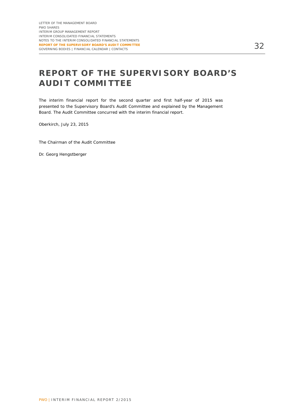# **REPORT OF THE SUPERVISORY BOARD'S AUDIT COMMITTEE**

The interim financial report for the second quarter and first half-year of 2015 was presented to the Supervisory Board's Audit Committee and explained by the Management Board. The Audit Committee concurred with the interim financial report.

Oberkirch, July 23, 2015

The Chairman of the Audit Committee

Dr. Georg Hengstberger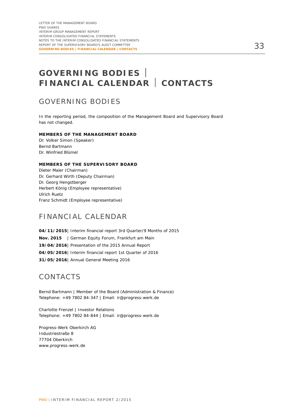# **GOVERNING BODIES FINANCIAL CALENDAR CONTACTS**

### GOVERNING BODIES

In the reporting period, the composition of the Management Board and Supervisory Board has not changed.

#### **MEMBERS OF THE MANAGEMENT BOARD**

Dr. Volker Simon (Speaker) Bernd Bartmann Dr. Winfried Blümel

#### **MEMBERS OF THE SUPERVISORY BOARD**

Dieter Maier (Chairman) Dr. Gerhard Wirth (Deputy Chairman) Dr. Georg Hengstberger Herbert König (Employee representative) Ulrich Ruetz Franz Schmidt (Employee representative)

### FINANCIAL CALENDAR

**04/11/2015** | Interim financial report 3rd Quarter/9 Months of 2015 **Nov. 2015** | German Equity Forum, Frankfurt am Main **19/04/2016**| Presentation of the 2015 Annual Report **04/05/2016**| Interim financial report 1st Quarter of 2016 **31/05/2016**| Annual General Meeting 2016

### CONTACTS

Bernd Bartmann | Member of the Board (Administration & Finance) Telephone: +49 7802 84-347 | Email: ir@progress-werk.de

Charlotte Frenzel | Investor Relations Telephone: +49 7802 84-844 | Email: ir@progress-werk.de

Progress-Werk Oberkirch AG Industriestraße 8 77704 Oberkirch www.progress-werk.de